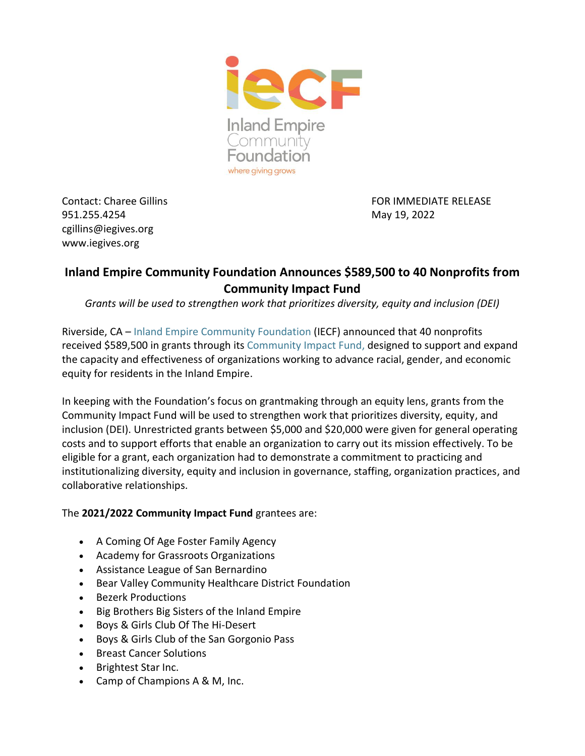

951.255.4254 May 19, 2022 cgillins@iegives.org www.iegives.org

Contact: Charee Gillins FOR IMMEDIATE RELEASE

## **Inland Empire Community Foundation Announces \$589,500 to 40 Nonprofits from Community Impact Fund**

*Grants will be used to strengthen work that prioritizes diversity, equity and inclusion (DEI)*

Riverside, CA – [Inland Empire Community Foundation](file:///C:/Users/cgillins.COMMLAP21/AppData/Local/Microsoft/Windows/INetCache/Content.Outlook/SPABGF7B/iegives.org) (IECF) announced that 40 nonprofits received \$589,500 in grants through its [Community Impact Fund,](https://www.iegives.org/funds/community-impact-fund-grant-opportunity/) designed to support and expand the capacity and effectiveness of organizations working to advance racial, gender, and economic equity for residents in the Inland Empire.

In keeping with the Foundation's focus on grantmaking through an equity lens, grants from the Community Impact Fund will be used to strengthen work that prioritizes diversity, equity, and inclusion (DEI). Unrestricted grants between \$5,000 and \$20,000 were given for general operating costs and to support efforts that enable an organization to carry out its mission effectively. To be eligible for a grant, each organization had to demonstrate a commitment to practicing and institutionalizing diversity, equity and inclusion in governance, staffing, organization practices, and collaborative relationships.

## The **2021/2022 Community Impact Fund** grantees are:

- A Coming Of Age Foster Family Agency
- Academy for Grassroots Organizations
- Assistance League of San Bernardino
- Bear Valley Community Healthcare District Foundation
- Bezerk Productions
- Big Brothers Big Sisters of the Inland Empire
- Boys & Girls Club Of The Hi-Desert
- Boys & Girls Club of the San Gorgonio Pass
- Breast Cancer Solutions
- Brightest Star Inc.
- Camp of Champions A & M, Inc.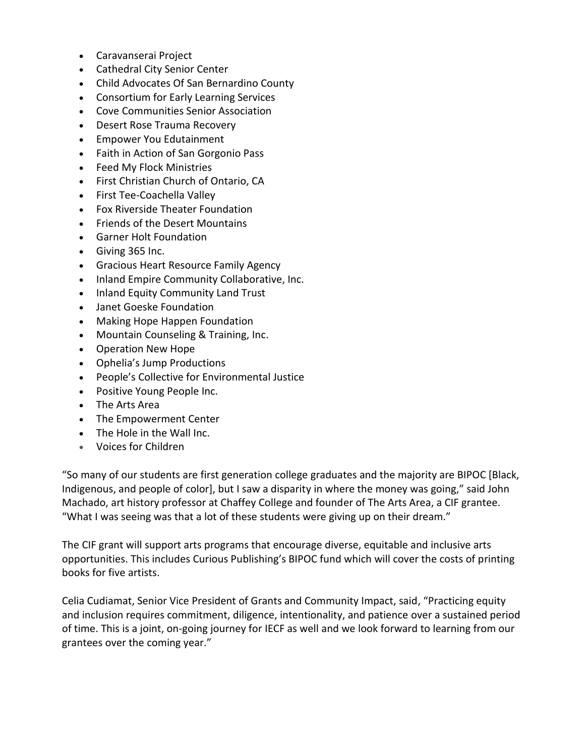- Caravanserai Project
- Cathedral City Senior Center
- Child Advocates Of San Bernardino County
- Consortium for Early Learning Services
- Cove Communities Senior Association
- Desert Rose Trauma Recovery
- Empower You Edutainment
- Faith in Action of San Gorgonio Pass
- Feed My Flock Ministries
- First Christian Church of Ontario, CA
- First Tee-Coachella Valley
- Fox Riverside Theater Foundation
- Friends of the Desert Mountains
- Garner Holt Foundation
- Giving 365 Inc.
- Gracious Heart Resource Family Agency
- Inland Empire Community Collaborative, Inc.
- Inland Equity Community Land Trust
- Janet Goeske Foundation
- Making Hope Happen Foundation
- Mountain Counseling & Training, Inc.
- Operation New Hope
- Ophelia's Jump Productions
- People's Collective for Environmental Justice
- Positive Young People Inc.
- The Arts Area
- The Empowerment Center
- The Hole in the Wall Inc.
- Voices for Children

"So many of our students are first generation college graduates and the majority are BIPOC [Black, Indigenous, and people of color], but I saw a disparity in where the money was going," said John Machado, art history professor at Chaffey College and founder of The Arts Area, a CIF grantee. "What I was seeing was that a lot of these students were giving up on their dream."

The CIF grant will support arts programs that encourage diverse, equitable and inclusive arts opportunities. This includes Curious Publishing's BIPOC fund which will cover the costs of printing books for five artists.

Celia Cudiamat, Senior Vice President of Grants and Community Impact, said, "Practicing equity and inclusion requires commitment, diligence, intentionality, and patience over a sustained period of time. This is a joint, on-going journey for IECF as well and we look forward to learning from our grantees over the coming year."